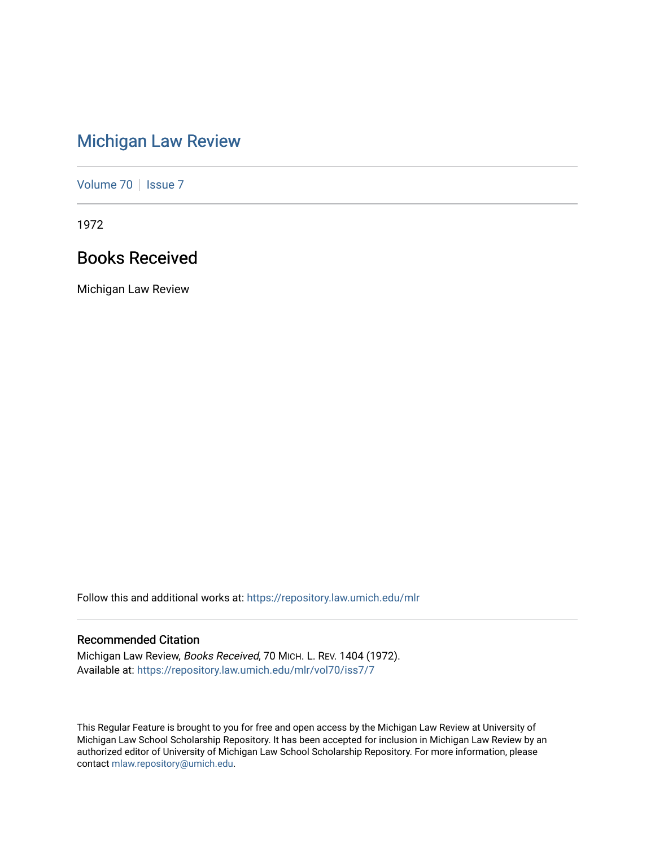# [Michigan Law Review](https://repository.law.umich.edu/mlr)

[Volume 70](https://repository.law.umich.edu/mlr/vol70) | [Issue 7](https://repository.law.umich.edu/mlr/vol70/iss7)

1972

# Books Received

Michigan Law Review

Follow this and additional works at: [https://repository.law.umich.edu/mlr](https://repository.law.umich.edu/mlr?utm_source=repository.law.umich.edu%2Fmlr%2Fvol70%2Fiss7%2F7&utm_medium=PDF&utm_campaign=PDFCoverPages) 

# Recommended Citation

Michigan Law Review, Books Received, 70 MICH. L. REV. 1404 (1972). Available at: [https://repository.law.umich.edu/mlr/vol70/iss7/7](https://repository.law.umich.edu/mlr/vol70/iss7/7?utm_source=repository.law.umich.edu%2Fmlr%2Fvol70%2Fiss7%2F7&utm_medium=PDF&utm_campaign=PDFCoverPages)

This Regular Feature is brought to you for free and open access by the Michigan Law Review at University of Michigan Law School Scholarship Repository. It has been accepted for inclusion in Michigan Law Review by an authorized editor of University of Michigan Law School Scholarship Repository. For more information, please contact [mlaw.repository@umich.edu](mailto:mlaw.repository@umich.edu).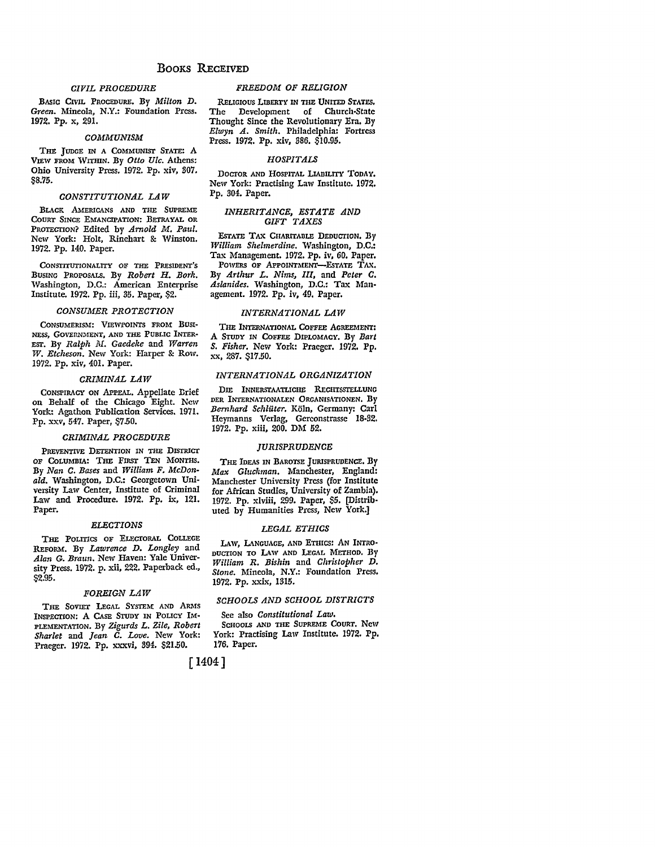### *CIVIL PROCEDURE*

BASIC CIVIL PROCEDURE. By *Milton D. Green.* Mineola, N.Y.: Foundation Press. 1972. Pp. x, 291.

#### *COMMUNISM*

THE JUDGE IN A COMMUNIST STATE: A VIEW FROM WrrmN. By *Otto Ulc.* Athens: Ohio University Press. 1972. Pp. xiv, 307. SS.75.

#### *CONSTITUTIONdL LlW*

BLACK AMERICANS AND THE SUPREME COURT SINCE EMANCIPATION: BETRAYAL OR PROTECTION? Edited by *Arnold M. Paul.*  New York: Holt, Rinehart & Winston. 1972. Pp. 140. Paper.

CONSTITUTIONALITY OF THE PRESIDENT'S BUSING PROPOSALS. By *Robert H. Bork.*  Washington, D.C.: American Enterprise Institute. 1972. Pp. iii, 35. Paper, \$2.

### *CONSUMER PROTECTION*

CONSUMERISM: VIEWPOINTS FROM BUSI· NESS, GOVERNMENT, AND THE PUBLIC INTER-EST. By *Ralph M. Gaedeke* and *Warren W. Etcheson.* New York: Harper & Row. 1972. Pp. xiv, 401. Paper.

#### *CRIMINAL LAW*

CONSPIRACY ON APPEAL. Appellate Drief on Behalf of the Chicago Eight. New York: Agathon Publication Services. 1971. Pp. xxv, 547. Paper, \$7.50.

#### *CRIMINdL PROCEDURE*

PREVENTIVE DETENTION IN THE DISTRICT OF COLUMBIA: THE FIRST TEN MONTHS. By *Nan C. Bases* and *William F. McDonald.* Washington, D.C.: Georgetown University Law Center, Institute of Criminal Law and Procedure. 1972. Pp. ix, 121. Paper.

#### *ELECTIONS*

THE POLITICS OF ELECTORAL COLLEGE REFORM. By *Lawrence D. Longley* and *Alan G. Braun.* New Haven: Yale University Press. 1972. p. xii, 222. Paperback ed., \$2.95.

#### *FOREIGN LAW*

THE SOVIET LEGAL SYSTEM AND ARMS INSPECTION: A CASE STUDY IN POLICY IM· PLEMENTATION. By *Zigurds L. Zile, Robert Sharlet* and *Jean C. Love.* New York: Praeger. 1972. Pp. xxxvi, 394. \$21.50.

#### *FREEDOM OF RELIGION*

RELIGIOUS LIBERTY IN THE UNITED STATES. The Development of Church•State Thought Since the Revolutionary Era, By *Elwyn A. Smith.* Philadelphia: Fortress Press. 1972. Pp. xiv, 386. \$10.95.

#### *HOSPITALS*

DOCTOR AND HOSPITAL LlAnILITY TODAY. New York: Practising Law Institute. 1972, Pp. 304. Paper.

#### *INHERITANCE, ESTATE AND GIFT TAXES*

EsTATE TAX CHARITABLE DEDUCTION. By *William Shelmerdine.* Washington, D.C,: Tax Management. 1972. Pp. iv, 60. Paper. POWERS OF APPOINTMENT-ESTATE TAX. By *Arthur L. Nims, III,* and *Peter C. Aslanides.* Washington, D.C.: Tax Management. 1972. Pp. iv, 49. Paper.

#### *INTERNATIONAL LlW*

THE INTERNATIONAL COFFEE AGREEMENT! A STUDY IN COFFEE DIPLOMACY. By *Bart S. Fisher.* New York: Praeger. 1972. Pp. xx, 287. \$17.50.

#### *INTERNATIONAL ORGANIZATION*

DIE INNERSTAATLICHE RECHTSSTELLUNG DER INTERNATIONALEN ORGANI5ATIONEN, By *Bernhard Schlilter.* Koln, Germany: Carl Heymanns Verlag, Gerconstrasse 18-32, 1972. Pp. xiii, 200. DM 52.

#### *JURISPRUDENCE*

THE IDEAS IN BAROTSE JURISPRUDENCE, By *Max Gluckman.* Manchester, England: Manchester University Press (for Institute for African Studies, University of Zambia), 1972. Pp. xlviii, 299. Paper, \$5. [Distributed by Humanities Press, New York.]

#### *LEGAL ETHICS*

LAW, LANGUAGE, AND ETHICS: AN INTRO• DUCTION TO LAW AND LEGAL METHOD. By *William R. Bishin* and *Christopher D, Stone.* Mineola, N.Y.: Foundation Press. 1972. Pp. xxix, 1315.

# *SCHOOLS AND SCHOOL DISTRICTS*

See also *Constitutional Law.*  SCHOOLS AND THE SUPREME COURT, New York: Practising Law Institute. 1972. Pp. 176. Paper.

[ **1404]**